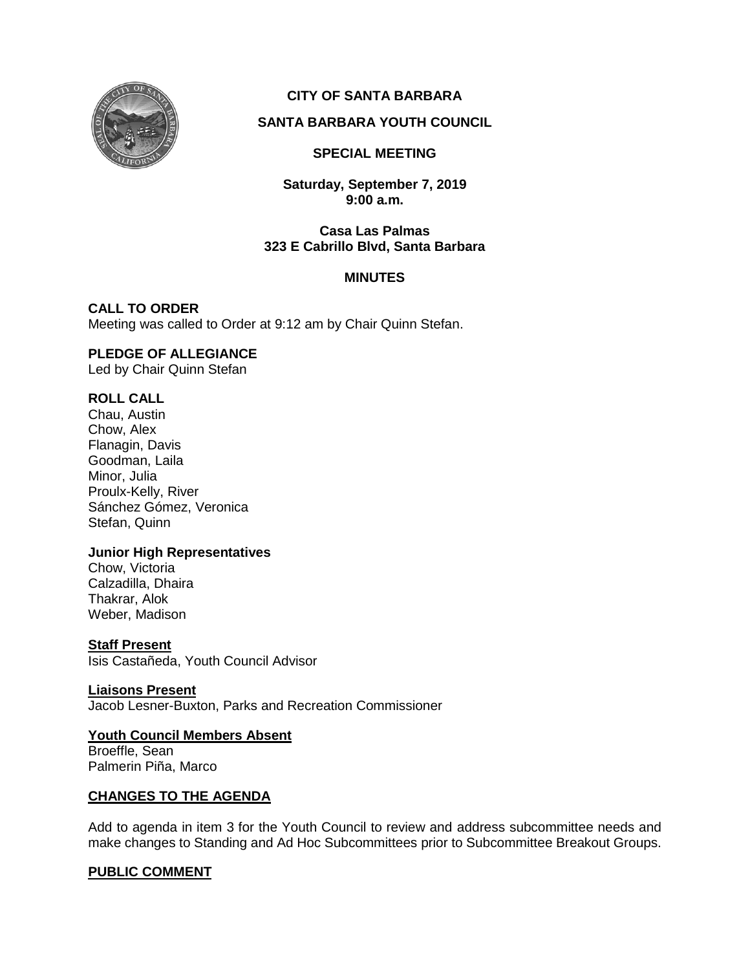

# **CITY OF SANTA BARBARA**

# **SANTA BARBARA YOUTH COUNCIL**

## **SPECIAL MEETING**

**Saturday, September 7, 2019 9:00 a.m.**

#### **Casa Las Palmas 323 E Cabrillo Blvd, Santa Barbara**

## **MINUTES**

**CALL TO ORDER** Meeting was called to Order at 9:12 am by Chair Quinn Stefan.

# **PLEDGE OF ALLEGIANCE**

Led by Chair Quinn Stefan

# **ROLL CALL**

Chau, Austin Chow, Alex Flanagin, Davis Goodman, Laila Minor, Julia Proulx-Kelly, River Sánchez Gómez, Veronica Stefan, Quinn

#### **Junior High Representatives**

Chow, Victoria Calzadilla, Dhaira Thakrar, Alok Weber, Madison

#### **Staff Present**

Isis Castañeda, Youth Council Advisor

**Liaisons Present** Jacob Lesner-Buxton, Parks and Recreation Commissioner

# **Youth Council Members Absent**

Broeffle, Sean Palmerin Piña, Marco

# **CHANGES TO THE AGENDA**

Add to agenda in item 3 for the Youth Council to review and address subcommittee needs and make changes to Standing and Ad Hoc Subcommittees prior to Subcommittee Breakout Groups.

# **PUBLIC COMMENT**